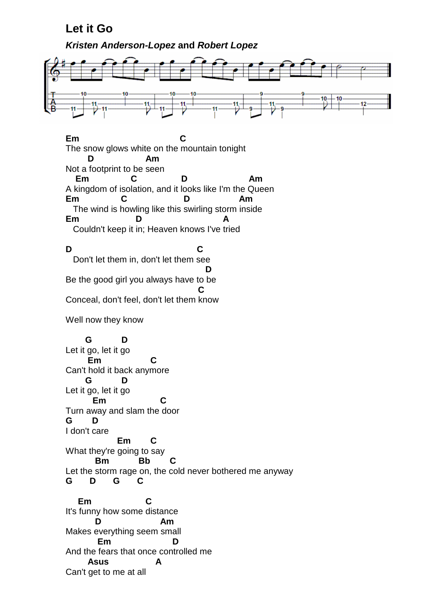## **Let it Go**

**Kristen Anderson-Lopez and Robert Lopez**